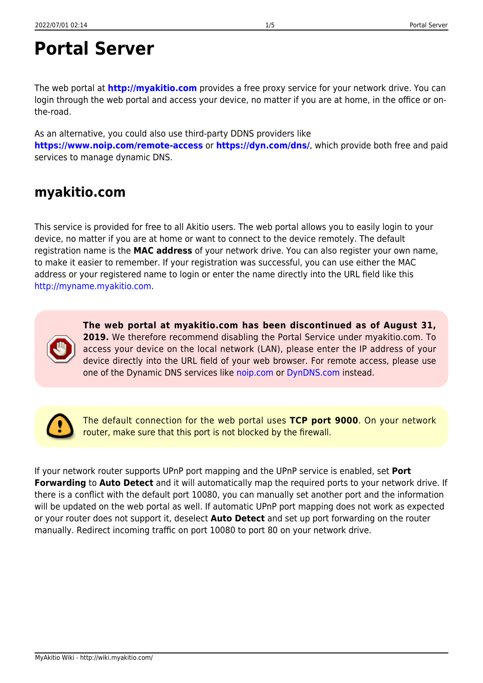# **Portal Server**

The web portal at **<http://myakitio.com>** provides a free proxy service for your network drive. You can login through the web portal and access your device, no matter if you are at home, in the office or onthe-road.

As an alternative, you could also use third-party DDNS providers like **<https://www.noip.com/remote-access>** or **<https://dyn.com/dns/>**, which provide both free and paid services to manage dynamic DNS.

## **myakitio.com**

This service is provided for free to all Akitio users. The web portal allows you to easily login to your device, no matter if you are at home or want to connect to the device remotely. The default registration name is the **MAC address** of your network drive. You can also register your own name, to make it easier to remember. If your registration was successful, you can use either the MAC address or your registered name to login or enter the name directly into the URL field like this [http://myname.myakitio.com.](http://myname.myakitio.com)

> **The web portal at myakitio.com has been discontinued as of August 31, 2019.** We therefore recommend disabling the Portal Service under myakitio.com. To access your device on the local network (LAN), please enter the IP address of your device directly into the URL field of your web browser. For remote access, please use one of the Dynamic DNS services like [noip.com](#page-2-0) or [DynDNS.com](#page-3-0) instead.

> The default connection for the web portal uses **TCP port 9000**. On your network router, make sure that this port is not blocked by the firewall.

If your network router supports UPnP port mapping and the UPnP service is enabled, set **Port Forwarding** to **Auto Detect** and it will automatically map the required ports to your network drive. If there is a conflict with the default port 10080, you can manually set another port and the information will be updated on the web portal as well. If automatic UPnP port mapping does not work as expected or your router does not support it, deselect **Auto Detect** and set up port forwarding on the router manually. Redirect incoming traffic on port 10080 to port 80 on your network drive.

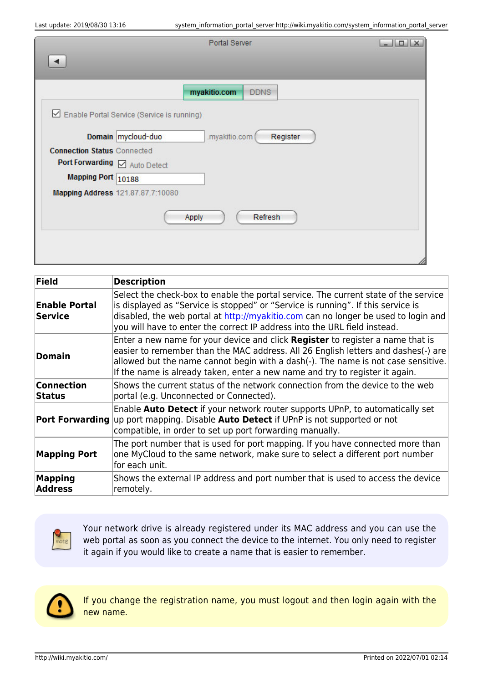| <b>Field</b>                           | <b>Description</b>                                                                                                                                                                                                                                                                                                                         |  |
|----------------------------------------|--------------------------------------------------------------------------------------------------------------------------------------------------------------------------------------------------------------------------------------------------------------------------------------------------------------------------------------------|--|
| <b>Enable Portal</b><br><b>Service</b> | Select the check-box to enable the portal service. The current state of the service<br>is displayed as "Service is stopped" or "Service is running". If this service is<br>disabled, the web portal at http://myakitio.com can no longer be used to login and<br>you will have to enter the correct IP address into the URL field instead. |  |
| <b>Domain</b>                          | Enter a new name for your device and click Register to register a name that is<br>easier to remember than the MAC address. All 26 English letters and dashes(-) are<br>allowed but the name cannot begin with a dash(-). The name is not case sensitive.<br>If the name is already taken, enter a new name and try to register it again.   |  |
| <b>Connection</b><br><b>Status</b>     | Shows the current status of the network connection from the device to the web<br>portal (e.g. Unconnected or Connected).                                                                                                                                                                                                                   |  |
| <b>Port Forwarding</b>                 | Enable Auto Detect if your network router supports UPnP, to automatically set<br>up port mapping. Disable Auto Detect if UPnP is not supported or not<br>compatible, in order to set up port forwarding manually.                                                                                                                          |  |
| <b>Mapping Port</b>                    | The port number that is used for port mapping. If you have connected more than<br>one MyCloud to the same network, make sure to select a different port number<br>for each unit.                                                                                                                                                           |  |
| <b>Mapping</b><br><b>Address</b>       | Shows the external IP address and port number that is used to access the device<br>remotely.                                                                                                                                                                                                                                               |  |



Your network drive is already registered under its MAC address and you can use the web portal as soon as you connect the device to the internet. You only need to register it again if you would like to create a name that is easier to remember.



If you change the registration name, you must logout and then login again with the new name.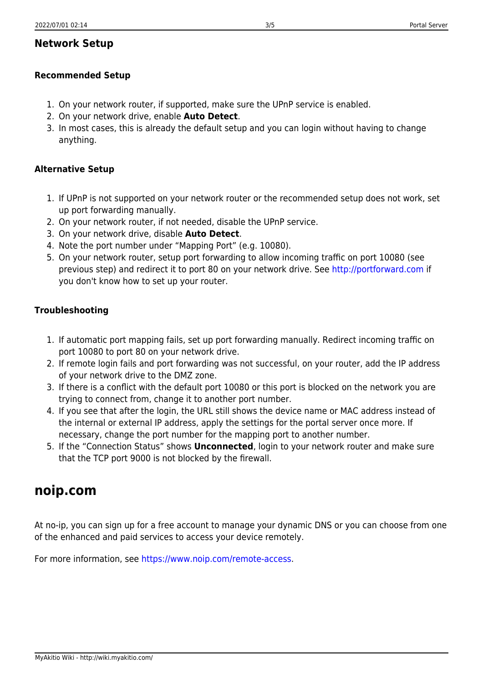## **Network Setup**

#### **Recommended Setup**

- 1. On your network router, if supported, make sure the UPnP service is enabled.
- 2. On your network drive, enable **Auto Detect**.
- 3. In most cases, this is already the default setup and you can login without having to change anything.

### **Alternative Setup**

- 1. If UPnP is not supported on your network router or the recommended setup does not work, set up port forwarding manually.
- 2. On your network router, if not needed, disable the UPnP service.
- 3. On your network drive, disable **Auto Detect**.
- 4. Note the port number under "Mapping Port" (e.g. 10080).
- 5. On your network router, setup port forwarding to allow incoming traffic on port 10080 (see previous step) and redirect it to port 80 on your network drive. See<http://portforward.com> if you don't know how to set up your router.

#### **Troubleshooting**

- 1. If automatic port mapping fails, set up port forwarding manually. Redirect incoming traffic on port 10080 to port 80 on your network drive.
- 2. If remote login fails and port forwarding was not successful, on your router, add the IP address of your network drive to the DMZ zone.
- 3. If there is a conflict with the default port 10080 or this port is blocked on the network you are trying to connect from, change it to another port number.
- 4. If you see that after the login, the URL still shows the device name or MAC address instead of the internal or external IP address, apply the settings for the portal server once more. If necessary, change the port number for the mapping port to another number.
- 5. If the "Connection Status" shows **Unconnected**, login to your network router and make sure that the TCP port 9000 is not blocked by the firewall.

## <span id="page-2-0"></span>**noip.com**

At no-ip, you can sign up for a free account to manage your dynamic DNS or you can choose from one of the enhanced and paid services to access your device remotely.

For more information, see <https://www.noip.com/remote-access>.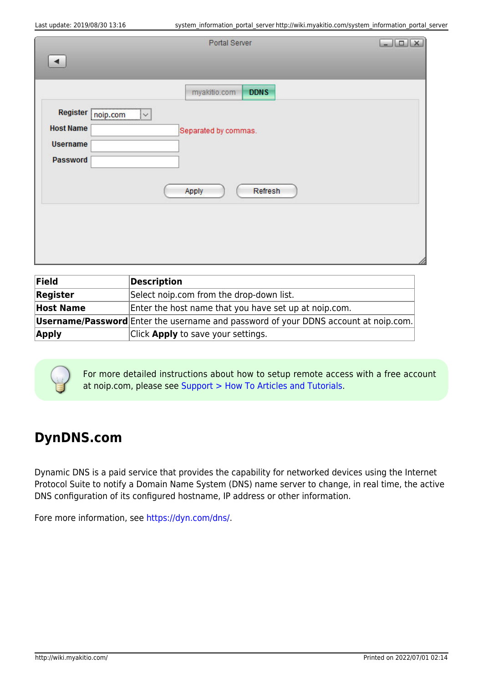|                                                  | Portal Server               | $\boxed{\phantom{1}}$ |
|--------------------------------------------------|-----------------------------|-----------------------|
| $\blacktriangleleft$                             |                             |                       |
|                                                  |                             |                       |
|                                                  | myakitio.com<br><b>DDNS</b> |                       |
| <b>PERSONAL PROPERTY AND INCOME.</b><br>Register | $\overline{\phantom{0}}$    |                       |
| noip.com<br><b>Host Name</b>                     |                             |                       |
| <b>Username</b>                                  | Separated by commas.        |                       |
|                                                  |                             |                       |
| Password                                         |                             |                       |
|                                                  |                             |                       |
|                                                  | Apply<br>Refresh            |                       |
|                                                  |                             |                       |
|                                                  |                             |                       |
|                                                  |                             |                       |
|                                                  |                             |                       |

| Field            | Description                                                                                |
|------------------|--------------------------------------------------------------------------------------------|
| Register         | Select noip.com from the drop-down list.                                                   |
| <b>Host Name</b> | Enter the host name that you have set up at noip.com.                                      |
|                  | <b>Username/Password</b> Enter the username and password of your DDNS account at noip.com. |
| <b>Apply</b>     | Click <b>Apply</b> to save your settings.                                                  |

For more detailed instructions about how to setup remote access with a free account at noip.com, please see [Support > How To Articles and Tutorials](http://wiki.myakitio.com/howto#how_to_remotely_access_the_device_without_using_the_web_portal_at_myakitiocom).

# <span id="page-3-0"></span>**DynDNS.com**

Dynamic DNS is a paid service that provides the capability for networked devices using the Internet Protocol Suite to notify a Domain Name System (DNS) name server to change, in real time, the active DNS configuration of its configured hostname, IP address or other information.

Fore more information, see <https://dyn.com/dns/>.